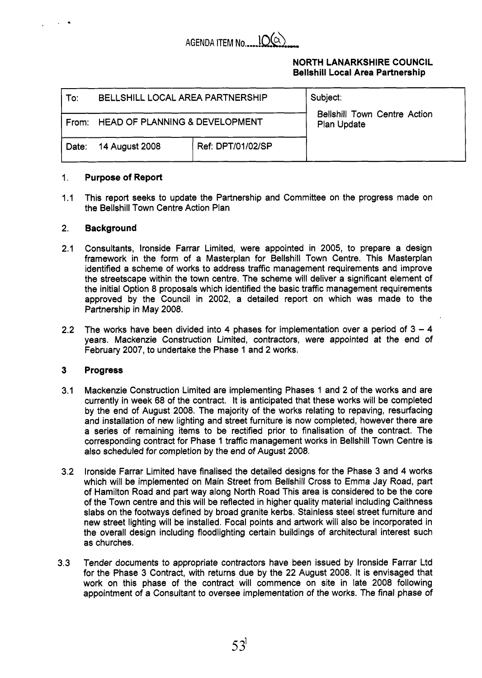

# **NORTH LANARKSHIRE COUNCIL Bellshill Local Area Partnership**

| To:   | BELLSHILL LOCAL AREA PARTNERSHIP          |                   | Subject:<br><b>Bellshill Town Centre Action</b><br>Plan Update |
|-------|-------------------------------------------|-------------------|----------------------------------------------------------------|
| From: | <b>HEAD OF PLANNING &amp; DEVELOPMENT</b> |                   |                                                                |
| Date: | 14 August 2008                            | Ref: DPT/01/02/SP |                                                                |

## 1. **Purpose of Report**

 $1.1$ This report seeks to update the Partnership and Committee on the progress made on the Bellshill Town Centre Action Plan

### 2. **Background**

.

- 2.1 Consultants, lronside Farrar Limited, were appointed in 2005, to prepare a design framework in the form of a Masterplan for Bellshill Town Centre. This Masterplan identified a scheme of works to address traffic management requirements and improve the streetscape within the town centre. The scheme will deliver a significant element of the initial Option 8 proposals which identified the basic traffic management requirements approved by the Council in 2002, a detailed report on which was made to the Partnership in May 2008.
- 2.2 The works have been divided into 4 phases for implementation over a period of  $3 - 4$ years. Mackenzie Construction Limited, contractors, were appointed at the end of February 2007, to undertake the Phase 1 and 2 works.

## **3 Progress**

- 3.1 Mackenzie Construction Limited are implementing Phases 1 and 2 of the works and are currently in week 68 of the contract. It is anticipated that these works will be completed by the end of August 2008. The majority of the works relating to repaving, resurfacing and installation of new lighting and street furniture is now completed, however there are a series of remaining items to be rectified prior to finalisation of the contract. The corresponding contract for Phase 1 traffic management works in Bellshill Town Centre is also scheduled for completion by the end of August 2008.
- 3.2 lronside Farrar Limited have finalised the detailed designs for the Phase 3 and 4 works which will be implemented on Main Street from Bellshill Cross to Emma Jay Road, part of Hamilton Road and part way along North Road This area is considered to be the core of the Town centre and this will be reflected in higher quality material including Caithness slabs on the footways defined by broad granite kerbs. Stainless steel street furniture and new street lighting will be installed. Focal points and artwork will also be incorporated in the overall design including floodlighting certain buildings of architectural interest such as churches.
- 3.3 Tender documents to appropriate contractors have been issued by lronside Farrar Ltd for the Phase 3 Contract, with returns due by the 22 August 2008. It is envisaged that work on this phase of the contract will commence on site in late 2008 following appointment of a Consultant to oversee implementation of the works. The final phase of